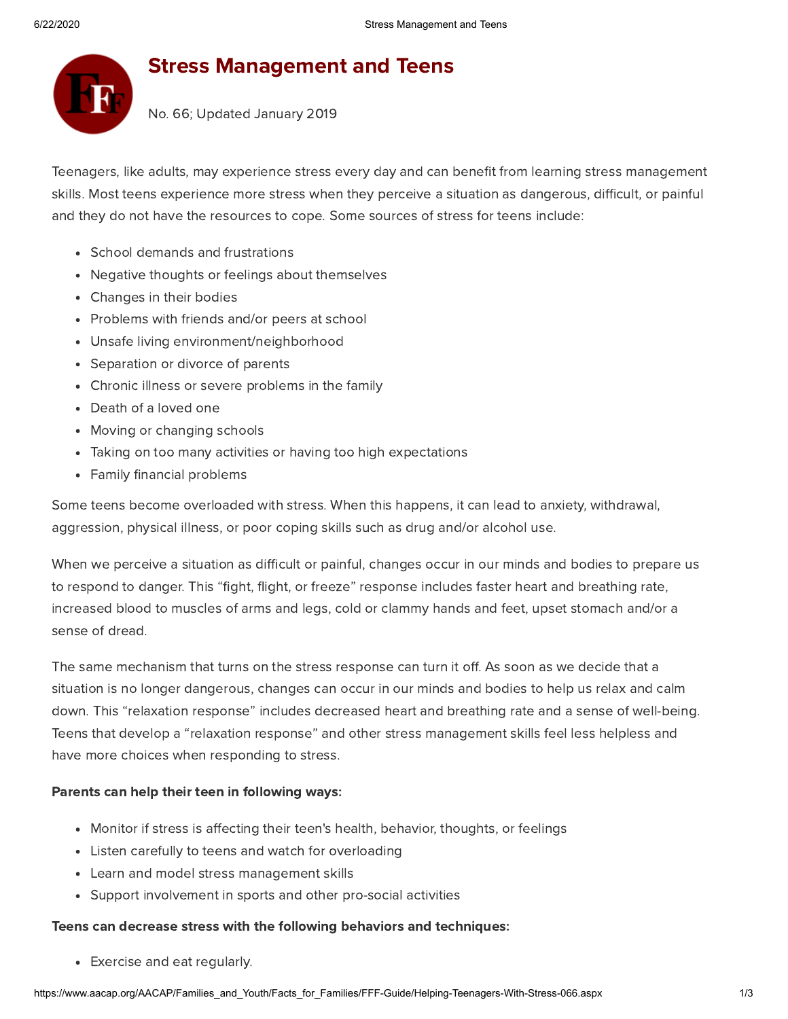# Stress Management and Teens

No. 66; Updated January 2019

Teenagers, like adults, may experience stress every day and can benefit from learning stress management skills. Most teens experience more stress when they perceive a situation as dangerous, difficult, or painful and they do not have the resources to cope. Some sources of stress for teens include:

- School demands and frustrations
- Negative thoughts or feelings about themselves
- Changes in their bodies
- Problems with friends and/or peers at school
- Unsafe living environment/neighborhood
- Separation or divorce of parents
- Chronic illness or severe problems in the family
- Death of a loved one
- Moving or changing schools
- Taking on too many activities or having too high expectations
- Family financial problems

Some teens become overloaded with stress. When this happens, it can lead to anxiety, withdrawal, aggression, physical illness, or poor coping skills such as drug and/or alcohol use.

When we perceive a situation as difficult or painful, changes occur in our minds and bodies to prepare us to respond to danger. This "fight, flight, or freeze" response includes faster heart and breathing rate, increased blood to muscles of arms and legs, cold or clammy hands and feet, upset stomach and/or a sense of dread.

The same mechanism that turns on the stress response can turn it off. As soon as we decide that a situation is no longer dangerous, changes can occur in our minds and bodies to help us relax and calm down. This "relaxation response" includes decreased heart and breathing rate and a sense of well-being. Teens that develop a "relaxation response" and other stress management skills feel less helpless and have more choices when responding to stress.

## Parents can help their teen in following ways:

- Monitor if stress is affecting their teen's health, behavior, thoughts, or feelings
- Listen carefully to teens and watch for overloading
- Learn and model stress management skills
- Support involvement in sports and other pro-social activities

#### Teens can decrease stress with the following behaviors and techniques:

Exercise and eat regularly.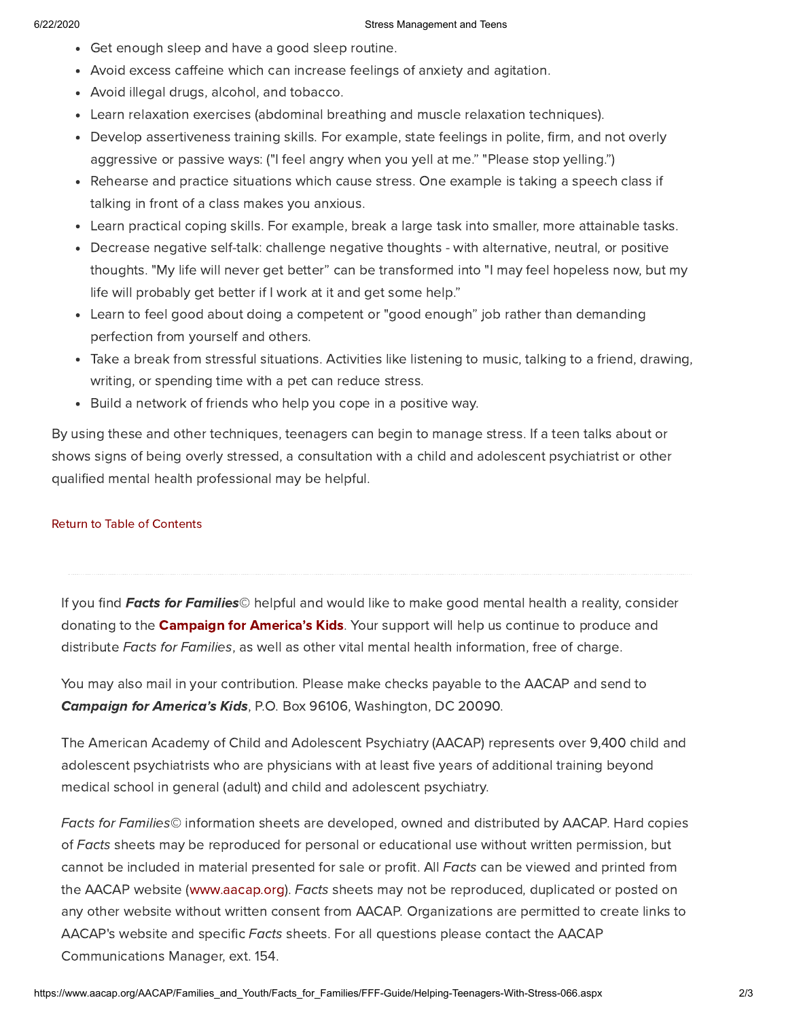- Get enough sleep and have a good sleep routine.
- Avoid excess caffeine which can increase feelings of anxiety and agitation.
- Avoid illegal drugs, alcohol, and tobacco.
- Learn relaxation exercises (abdominal breathing and muscle relaxation techniques).
- Develop assertiveness training skills. For example, state feelings in polite, firm, and not overly aggressive or passive ways: ("I feel angry when you yell at me." "Please stop yelling.")
- Rehearse and practice situations which cause stress. One example is taking a speech class if talking in front of a class makes you anxious.
- Learn practical coping skills. For example, break a large task into smaller, more attainable tasks.
- Decrease negative self-talk: challenge negative thoughts with alternative, neutral, or positive thoughts. "My life will never get better" can be transformed into "I may feel hopeless now, but my life will probably get better if I work at it and get some help."
- Learn to feel good about doing a competent or "good enough" job rather than demanding perfection from yourself and others.
- Take a break from stressful situations. Activities like listening to music, talking to a friend, drawing, writing, or spending time with a pet can reduce stress.
- Build a network of friends who help you cope in a positive way.

By using these and other techniques, teenagers can begin to manage stress. If a teen talks about or shows signs of being overly stressed, a consultation with a child and adolescent psychiatrist or other qualified mental health professional may be helpful.

## Return to Table of [Contents](https://www.aacap.org/AACAP/Families_and_Youth/Facts_for_Families/FFF-Guide/FFF-Guide-Home.aspx)

If you find Facts for Families© helpful and would like to make good mental health a reality, consider donating to the Campaign for [America's](https://www.aacap.org/AACAP/Support_AACAP/Campaign_for_Americas_Kids/Home.aspx) Kids. Your support will help us continue to produce and distribute Facts for Families, as well as other vital mental health information, free of charge.

You may also mail in your contribution. Please make checks payable to the AACAP and send to Campaign for America's Kids, P.O. Box 96106, Washington, DC 20090.

The American Academy of Child and Adolescent Psychiatry (AACAP) represents over 9,400 child and adolescent psychiatrists who are physicians with at least five years of additional training beyond medical school in general (adult) and child and adolescent psychiatry.

Facts for Families© information sheets are developed, owned and distributed by AACAP. Hard copies of Facts sheets may be reproduced for personal or educational use without written permission, but cannot be included in material presented for sale or profit. All Facts can be viewed and printed from the AACAP website [\(www.aacap.org\)](http://www.aacap.org/). Facts sheets may not be reproduced, duplicated or posted on any other website without written consent from AACAP. Organizations are permitted to create links to AACAP's website and specific Facts sheets. For all questions please contact the AACAP Communications Manager, ext. 154.